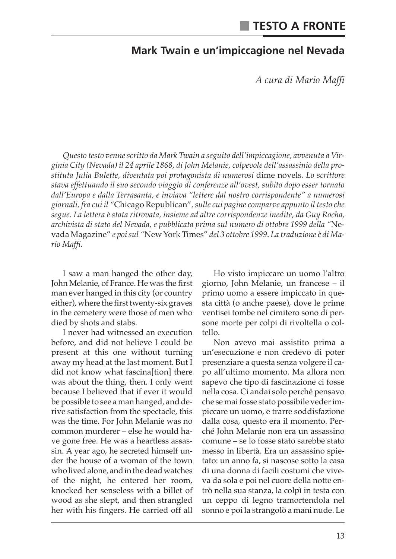## **Mark Twain e un'impiccagione nel Nevada**

*A cura di Mario Maffi*

*Questo testo vennescritto da Mark Twain a seguito dell'impiccagione, avvenuta a Virginia City (Nevada) il 24 aprile 1868, di John Melanie, colpevole dell'assassinio della prostituta Julia Bulette, diventata poi protagonista di numerosi* dime novels*. Lo scrittore stava effettuando il suo secondo viaggio di conferenze all'ovest, subito dopo esser tornato dall'Europa e dalla Terrasanta, e inviava "lettere dal nostro corrispondente" a numerosi giornali, fra cui il "*Chicago Republican"*,sulle cui pagine comparve appunto il testo che segue. La lettera è stata ritrovata, insieme ad altre corrispondenze inedite, da Guy Rocha, archivista di stato del Nevada, e pubblicata prima sul numero di ottobre 1999 della "*Nevada Magazine" *e poisul "*New York Times" *del 3 ottobre 1999*. *La traduzioneè di Mario Maffi.*

I saw a man hanged the other day, John Melanie, of France. He was the first man ever hanged in this city (or country either), where the first twenty-six graves in the cemetery were those of men who died by shots and stabs.

I never had witnessed an execution before, and did not believe I could be present at this one without turning away my head at the last moment. But I did not know what fascina[tion] there was about the thing, then. I only went because I believed that if ever it would be possible to see a man hanged, and derive satisfaction from the spectacle, this was the time. For John Melanie was no common murderer – else he would have gone free. He was a heartless assassin. A year ago, he secreted himself under the house of a woman of the town wholivedalone, andinthedeadwatches of the night, he entered her room, knocked her senseless with a billet of wood as she slept, and then strangled her with his fingers. He carried off all

Ho visto impiccare un uomo l'altro giorno, John Melanie, un francese – il primo uomo a essere impiccato in questa città (o anche paese), dove le prime ventisei tombe nel cimitero sono di persone morte per colpi di rivoltella o coltello.

Non avevo mai assistito prima a un'esecuzione e non credevo di poter presenziare a questa senza volgere il capo all'ultimo momento. Ma allora non sapevo che tipo di fascinazione ci fosse nella cosa. Ci andai solo perché pensavo che se mai fosse stato possibile veder impiccare un uomo, e trarre soddisfazione dalla cosa, questo era il momento. Perché John Melanie non era un assassino comune – se lo fosse stato sarebbe stato messo in libertà. Era un assassino spietato: un anno fa, si nascose sotto la casa di una donna di facili costumi che viveva da sola e poi nel cuore della notte entrò nella sua stanza, la colpì in testa con un ceppo di legno tramortendola nel sonno e poi la strangolò a mani nude. Le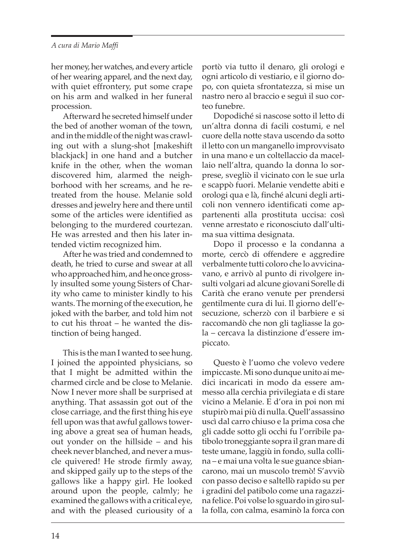## *A cura di Mario Maffi*

her money, her watches, and every article of her wearing apparel, and the next day, with quiet effrontery, put some crape on his arm and walked in her funeral procession.

Afterward he secreted himself under the bed of another woman of the town, and in the middle of the night was crawling out with a slung-shot [makeshift blackjack] in one hand and a butcher knife in the other, when the woman discovered him, alarmed the neighborhood with her screams, and he retreated from the house. Melanie sold dresses and jewelry here and there until some of the articles were identified as belonging to the murdered courtezan. He was arrested and then his later intended victim recognized him.

After he was tried and condemned to death, he tried to curse and swear at all who approached him, and he once grossly insulted some young Sisters of Charity who came to minister kindly to his wants. The morning of the execution, he joked with the barber, and told him not to cut his throat – he wanted the distinction of being hanged.

This is the man I wanted to see hung. I joined the appointed physicians, so that I might be admitted within the charmed circle and be close to Melanie. Now I never more shall be surprised at anything. That assassin got out of the close carriage, and the first thing his eye fell upon was that awful gallows towering above a great sea of human heads, out yonder on the hillside – and his cheek never blanched, and never a muscle quivered! He strode firmly away, and skipped gaily up to the steps of the gallows like a happy girl. He looked around upon the people, calmly; he examined the gallows with a critical eye, and with the pleased curiousity of a

portò via tutto il denaro, gli orologi e ogni articolo di vestiario, e il giorno dopo, con quieta sfrontatezza, si mise un nastro nero al braccio e seguì il suo corteo funebre.

Dopodiché si nascose sotto il letto di un'altra donna di facili costumi, e nel cuore della notte stava uscendo da sotto il letto con un manganello improvvisato in una mano e un coltellaccio da macellaio nell'altra, quando la donna lo sorprese, svegliò il vicinato con le sue urla e scappò fuori. Melanie vendette abiti e orologi qua e là, finché alcuni degli articoli non vennero identificati come appartenenti alla prostituta uccisa: così venne arrestato e riconosciuto dall'ultima sua vittima designata.

Dopo il processo e la condanna a morte, cercò di offendere e aggredire verbalmente tutti coloro che lo avvicinavano, e arrivò al punto di rivolgere insulti volgari ad alcune giovani Sorelle di Carità che erano venute per prendersi gentilmente cura di lui. Il giorno dell'esecuzione, scherzò con il barbiere e si raccomandò che non gli tagliasse la gola – cercava la distinzione d'essere impiccato.

Questo è l'uomo che volevo vedere impiccaste. Mi sono dunque unito ai medici incaricati in modo da essere ammesso alla cerchia privilegiata e di stare vicino a Melanie. E d'ora in poi non mi stupirò maipiùdi nulla.Quell'assassino uscì dal carro chiuso e la prima cosa che gli cadde sotto gli occhi fu l'orribile patibolo troneggiante sopra il gran mare di teste umane, laggiù in fondo, sulla collina – e mai una volta le sue guance sbiancarono, mai un muscolo tremò! S'avviò con passo deciso e saltellò rapido su per i gradini del patibolo come una ragazzina felice. Poi volse lo sguardo in giro sulla folla, con calma, esaminò la forca con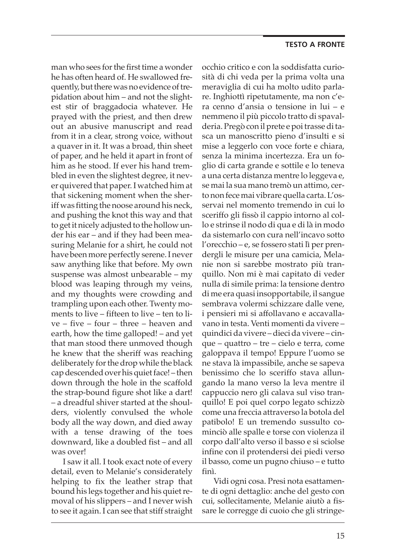man who sees for the first time a wonder he has often heard of. He swallowed frequently, but there was no evidence of trepidation about him – and not the slightest stir of braggadocia whatever. He prayed with the priest, and then drew out an abusive manuscript and read from it in a clear, strong voice, without a quaver in it. It was a broad, thin sheet of paper, and he held it apart in front of him as he stood. If ever his hand trembled in even the slightest degree, it never quivered that paper.I watched him at that sickening moment when the sheriff was fitting the noose around his neck, and pushing the knot this way and that to get it nicely adjusted to the hollow under his ear – and if they had been measuring Melanie for a shirt, he could not have been more perfectly serene. I never saw anything like that before. My own suspense was almost unbearable – my blood was leaping through my veins, and my thoughts were crowding and trampling upon each other. Twenty moments to live – fifteen to live – ten to live – five – four – three – heaven and earth, how the time galloped! – and yet that man stood there unmoved though he knew that the sheriff was reaching deliberately for the drop while the black cap descended over his quiet face! – then down through the hole in the scaffold the strap-bound figure shot like a dart! – a dreadful shiver started at the shoulders, violently convulsed the whole body all the way down, and died away with a tense drawing of the toes downward, like a doubled fist – and all was over!

I saw it all. I took exact note of every detail, even to Melanie's considerately helping to fix the leather strap that bound his legs together and his quiet removal of his slippers – and I never wish to see it again. I can see that stiff straight

occhio critico e con la soddisfatta curiosità di chi veda per la prima volta una meraviglia di cui ha molto udito parlare. Inghiottì ripetutamente, ma non c'era cenno d'ansia o tensione in lui – e nemmeno il più piccolo tratto di spavalderia. Pregò con il prete e poi trasse di tasca un manoscritto pieno d'insulti e si mise a leggerlo con voce forte e chiara, senza la minima incertezza. Era un foglio di carta grande e sottile e lo teneva a una certa distanza mentre lo leggeva e, se mai la sua mano tremò un attimo, certo non fecemai vibrare quella carta.L'osservai nel momento tremendo in cui lo sceriffo gli fissò il cappio intorno al collo e strinse il nodo di qua e di là in modo da sistemarlo con cura nell'incavo sotto l'orecchio – e, se fossero stati lì per prendergli le misure per una camicia, Melanie non si sarebbe mostrato più tranquillo. Non mi è mai capitato di veder nulla di simile prima: la tensione dentro di me era quasi insopportabile, il sangue sembrava volermi schizzare dalle vene, i pensieri mi si affollavano e accavallavano in testa. Venti momenti da vivere – quindicida vivere –diecida vivere – cinque – quattro – tre – cielo e terra, come galoppava il tempo! Eppure l'uomo se ne stava là impassibile, anche se sapeva benissimo che lo sceriffo stava allungando la mano verso la leva mentre il cappuccio nero gli calava sul viso tranquillo! E poi quel corpo legato schizzò come una freccia attraverso la botola del patibolo! E un tremendo sussulto cominciò alle spalle e torse con violenza il corpo dall'alto verso il basso e si sciolse infine con il protendersi dei piedi verso il basso, come un pugno chiuso – e tutto finì.

Vidi ogni cosa. Presi nota esattamente di ogni dettaglio: anche del gesto con cui, sollecitamente, Melanie aiutò a fissare le corregge di cuoio che gli stringe-